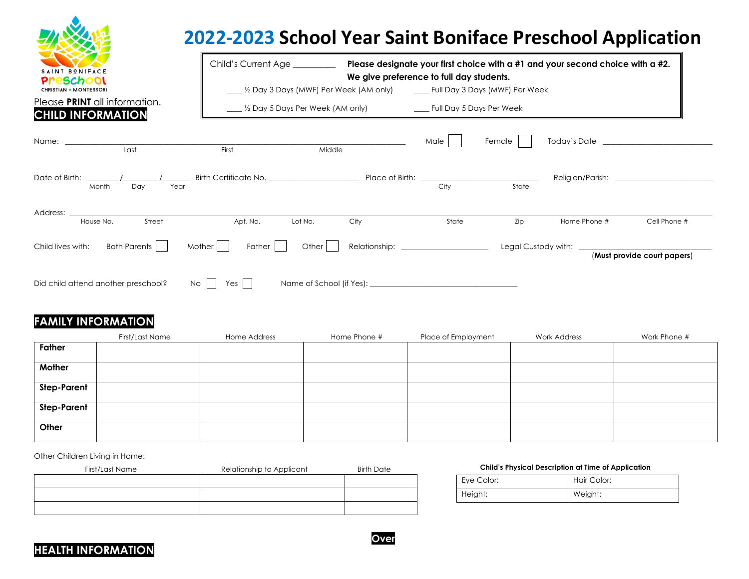| SAINT BONIFACE                                        |
|-------------------------------------------------------|
| <mark>eschool</mark><br><b>CHRISTIAN • MONTESSORI</b> |

## **2022-2023 School Year Saint Boniface Preschool Application**

| SAINT BONIFACE<br><u>Preschool</u><br><b>CHRISTIAN • MONTESSORI</b><br>Please PRINT all information.<br><b>CHILD INFORMATION</b> |                           | Child's Current Age |         | We give preference to full day students.<br>. ½ Day 3 Days (MWF) Per Week (AM only) _______ Full Day 3 Days (MWF) Per Week |       |        | Please designate your first choice with a $#1$ and your second choice with a $#2$ . |                             |
|----------------------------------------------------------------------------------------------------------------------------------|---------------------------|---------------------|---------|----------------------------------------------------------------------------------------------------------------------------|-------|--------|-------------------------------------------------------------------------------------|-----------------------------|
| Name: when the contract of the contract of the contract of the contract of the contract of the contract of the                   | Last                      | First               | Middle  |                                                                                                                            | Male  | Female |                                                                                     |                             |
| Date of Birth:<br>Month                                                                                                          | $\sqrt{2}$<br>Year<br>Day |                     |         |                                                                                                                            | City  | State  |                                                                                     |                             |
| Address:<br>House No.                                                                                                            | Street                    | Apt. No.            | Lot No. | City                                                                                                                       | State | Zip    | Home Phone #                                                                        | Cell Phone #                |
| Child lives with:                                                                                                                | Both Parents              | Mother  <br>Father  | Other   | Relationship: _______________________                                                                                      |       |        | Legal Custody with: <u>______________</u>                                           | (Must provide court papers) |
| Did child attend another preschool?                                                                                              | No.                       | Yes                 |         |                                                                                                                            |       |        |                                                                                     |                             |

## **FAMILY INFORMATION**

|                    | First/Last Name | Home Address | Home Phone # | Place of Employment | Work Address | Work Phone # |
|--------------------|-----------------|--------------|--------------|---------------------|--------------|--------------|
| Father             |                 |              |              |                     |              |              |
| Mother             |                 |              |              |                     |              |              |
| <b>Step-Parent</b> |                 |              |              |                     |              |              |
| <b>Step-Parent</b> |                 |              |              |                     |              |              |
| Other              |                 |              |              |                     |              |              |

Other Children Living in Home:

| Relationship to Applicant<br><b>Birth Date</b> |
|------------------------------------------------|
|                                                |
|                                                |
|                                                |
|                                                |

## **Child's Physical Description at Time of Application**

| Eye Color: | Hair Color: |
|------------|-------------|
| Height:    | Weight:     |